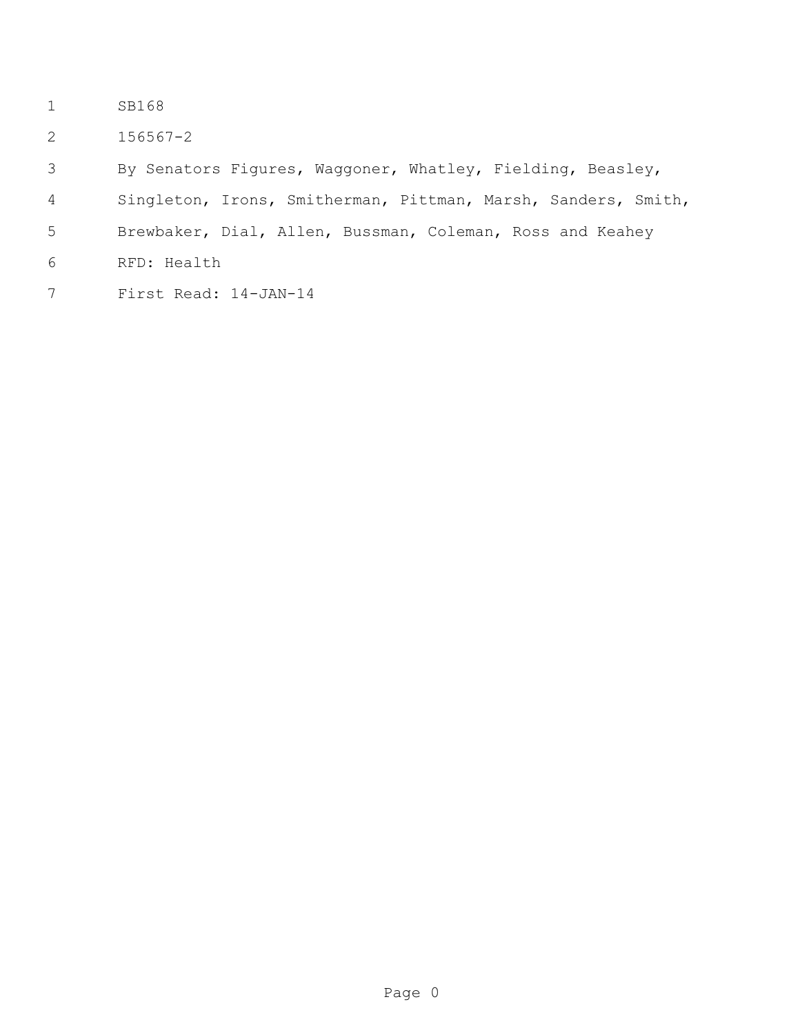- SB168
- 156567-2
- By Senators Figures, Waggoner, Whatley, Fielding, Beasley,
- Singleton, Irons, Smitherman, Pittman, Marsh, Sanders, Smith,
- Brewbaker, Dial, Allen, Bussman, Coleman, Ross and Keahey
- RFD: Health
- First Read: 14-JAN-14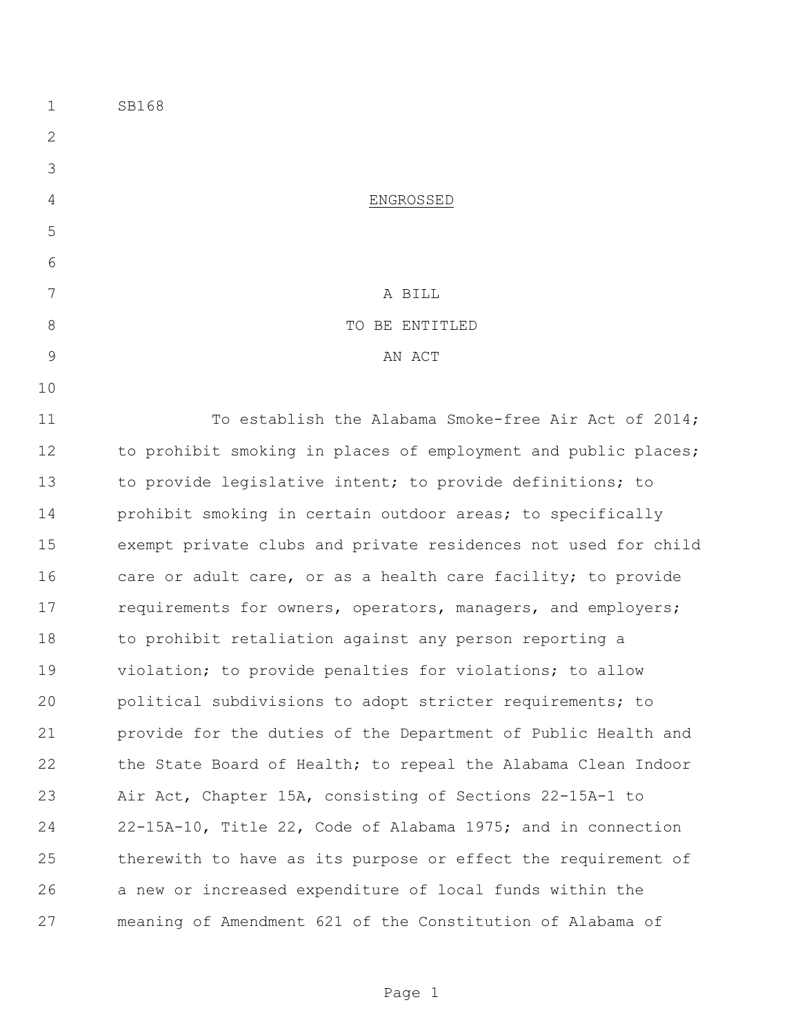| $\mathbf 1$   | SB168                                                          |
|---------------|----------------------------------------------------------------|
| 2             |                                                                |
| 3             |                                                                |
| 4             | ENGROSSED                                                      |
| 5             |                                                                |
| 6             |                                                                |
| 7             | A BILL                                                         |
| 8             | TO BE ENTITLED                                                 |
| $\mathcal{G}$ | AN ACT                                                         |
| 10            |                                                                |
| 11            | To establish the Alabama Smoke-free Air Act of 2014;           |
| 12            | to prohibit smoking in places of employment and public places; |
| 13            | to provide legislative intent; to provide definitions; to      |
| 14            | prohibit smoking in certain outdoor areas; to specifically     |
| 15            | exempt private clubs and private residences not used for child |
| 16            | care or adult care, or as a health care facility; to provide   |
| 17            | requirements for owners, operators, managers, and employers;   |
| 18            | to prohibit retaliation against any person reporting a         |
| 19            | violation; to provide penalties for violations; to allow       |
| 20            | political subdivisions to adopt stricter requirements; to      |
| 21            | provide for the duties of the Department of Public Health and  |
| 22            | the State Board of Health; to repeal the Alabama Clean Indoor  |
| 23            | Air Act, Chapter 15A, consisting of Sections 22-15A-1 to       |
| 24            | 22-15A-10, Title 22, Code of Alabama 1975; and in connection   |
| 25            | therewith to have as its purpose or effect the requirement of  |
| 26            | a new or increased expenditure of local funds within the       |
| 27            | meaning of Amendment 621 of the Constitution of Alabama of     |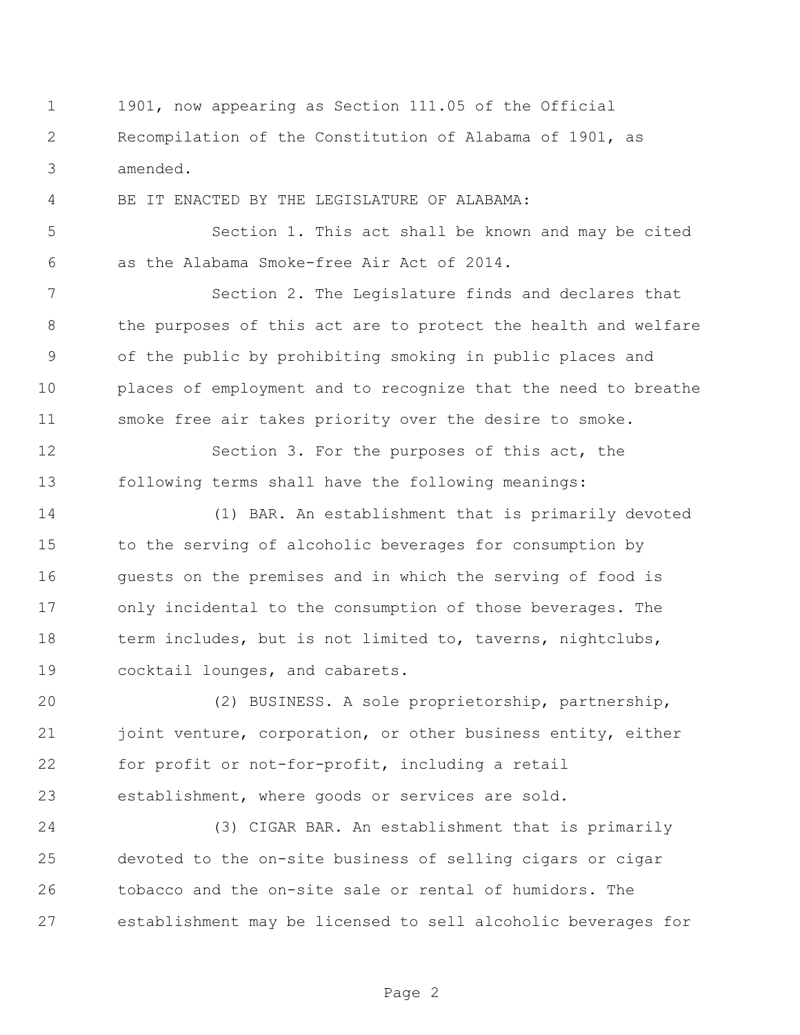1901, now appearing as Section 111.05 of the Official Recompilation of the Constitution of Alabama of 1901, as amended.

BE IT ENACTED BY THE LEGISLATURE OF ALABAMA:

 Section 1. This act shall be known and may be cited as the Alabama Smoke-free Air Act of 2014.

 Section 2. The Legislature finds and declares that the purposes of this act are to protect the health and welfare of the public by prohibiting smoking in public places and places of employment and to recognize that the need to breathe smoke free air takes priority over the desire to smoke.

 Section 3. For the purposes of this act, the following terms shall have the following meanings:

 (1) BAR. An establishment that is primarily devoted to the serving of alcoholic beverages for consumption by 16 guests on the premises and in which the serving of food is only incidental to the consumption of those beverages. The 18 term includes, but is not limited to, taverns, nightclubs, cocktail lounges, and cabarets.

 (2) BUSINESS. A sole proprietorship, partnership, 21 joint venture, corporation, or other business entity, either for profit or not-for-profit, including a retail establishment, where goods or services are sold.

 (3) CIGAR BAR. An establishment that is primarily devoted to the on-site business of selling cigars or cigar tobacco and the on-site sale or rental of humidors. The establishment may be licensed to sell alcoholic beverages for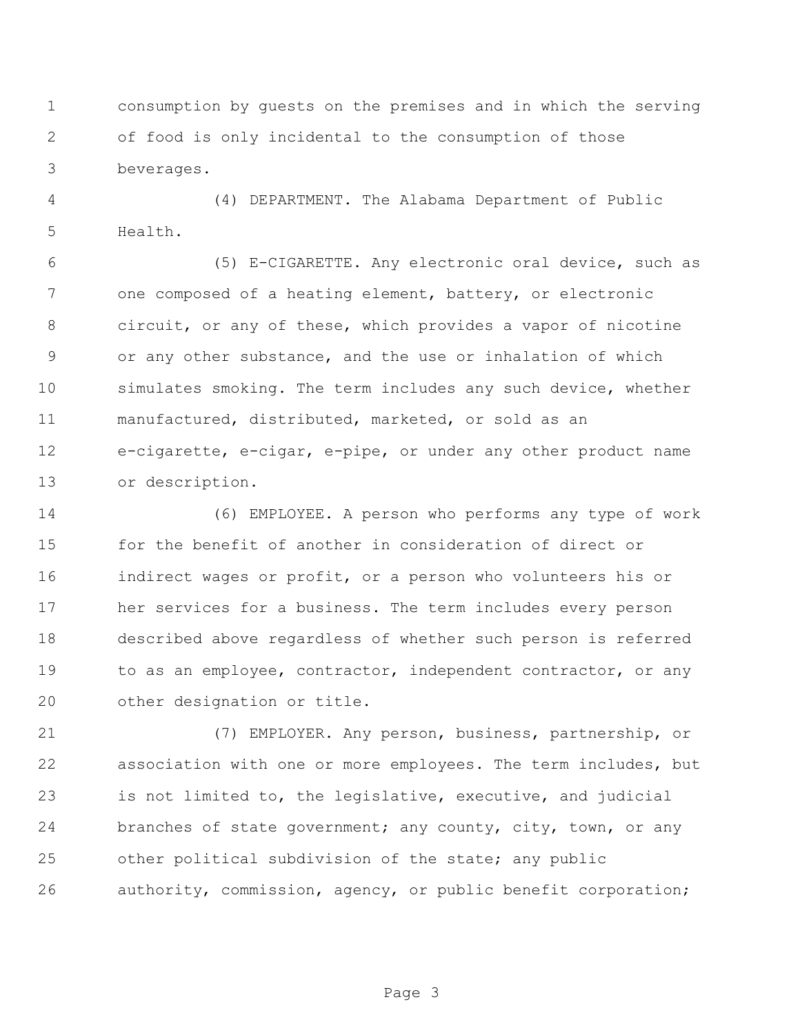consumption by guests on the premises and in which the serving of food is only incidental to the consumption of those beverages.

 (4) DEPARTMENT. The Alabama Department of Public Health.

 (5) E-CIGARETTE. Any electronic oral device, such as one composed of a heating element, battery, or electronic circuit, or any of these, which provides a vapor of nicotine or any other substance, and the use or inhalation of which simulates smoking. The term includes any such device, whether manufactured, distributed, marketed, or sold as an e-cigarette, e-cigar, e-pipe, or under any other product name or description.

 (6) EMPLOYEE. A person who performs any type of work for the benefit of another in consideration of direct or indirect wages or profit, or a person who volunteers his or her services for a business. The term includes every person described above regardless of whether such person is referred 19 to as an employee, contractor, independent contractor, or any other designation or title.

 (7) EMPLOYER. Any person, business, partnership, or association with one or more employees. The term includes, but is not limited to, the legislative, executive, and judicial branches of state government; any county, city, town, or any other political subdivision of the state; any public authority, commission, agency, or public benefit corporation;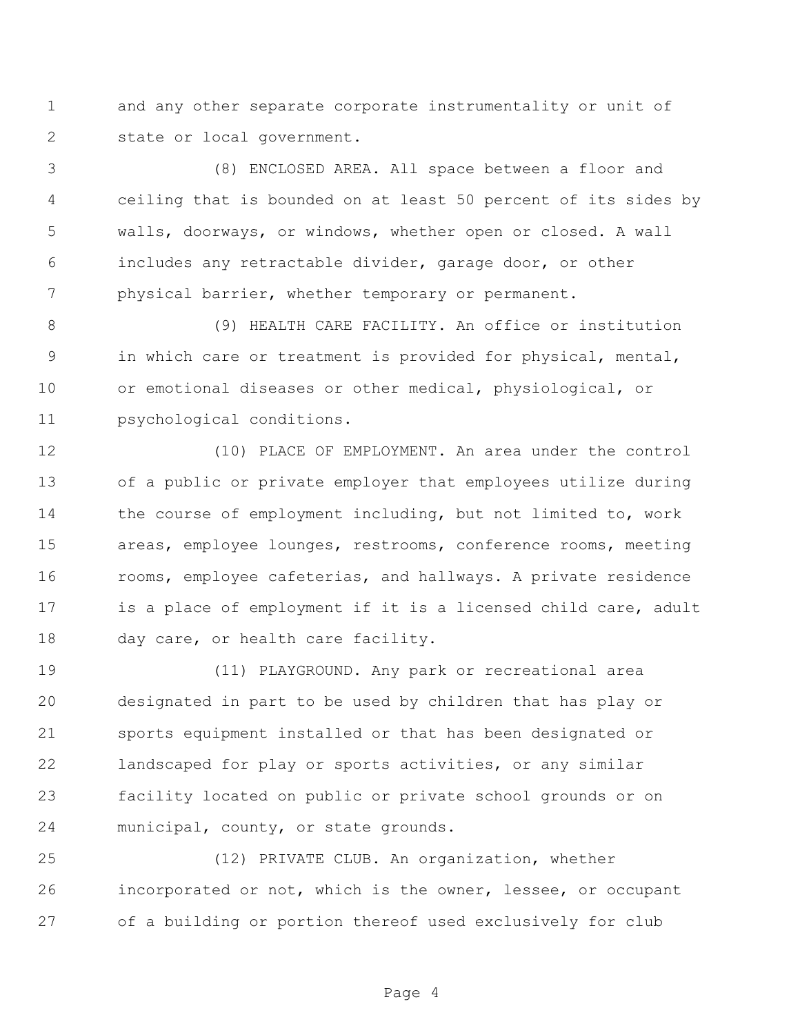and any other separate corporate instrumentality or unit of state or local government.

 (8) ENCLOSED AREA. All space between a floor and ceiling that is bounded on at least 50 percent of its sides by walls, doorways, or windows, whether open or closed. A wall includes any retractable divider, garage door, or other physical barrier, whether temporary or permanent.

 (9) HEALTH CARE FACILITY. An office or institution in which care or treatment is provided for physical, mental, or emotional diseases or other medical, physiological, or psychological conditions.

 (10) PLACE OF EMPLOYMENT. An area under the control of a public or private employer that employees utilize during 14 the course of employment including, but not limited to, work areas, employee lounges, restrooms, conference rooms, meeting rooms, employee cafeterias, and hallways. A private residence 17 is a place of employment if it is a licensed child care, adult 18 day care, or health care facility.

 (11) PLAYGROUND. Any park or recreational area designated in part to be used by children that has play or sports equipment installed or that has been designated or landscaped for play or sports activities, or any similar facility located on public or private school grounds or on municipal, county, or state grounds.

 (12) PRIVATE CLUB. An organization, whether incorporated or not, which is the owner, lessee, or occupant of a building or portion thereof used exclusively for club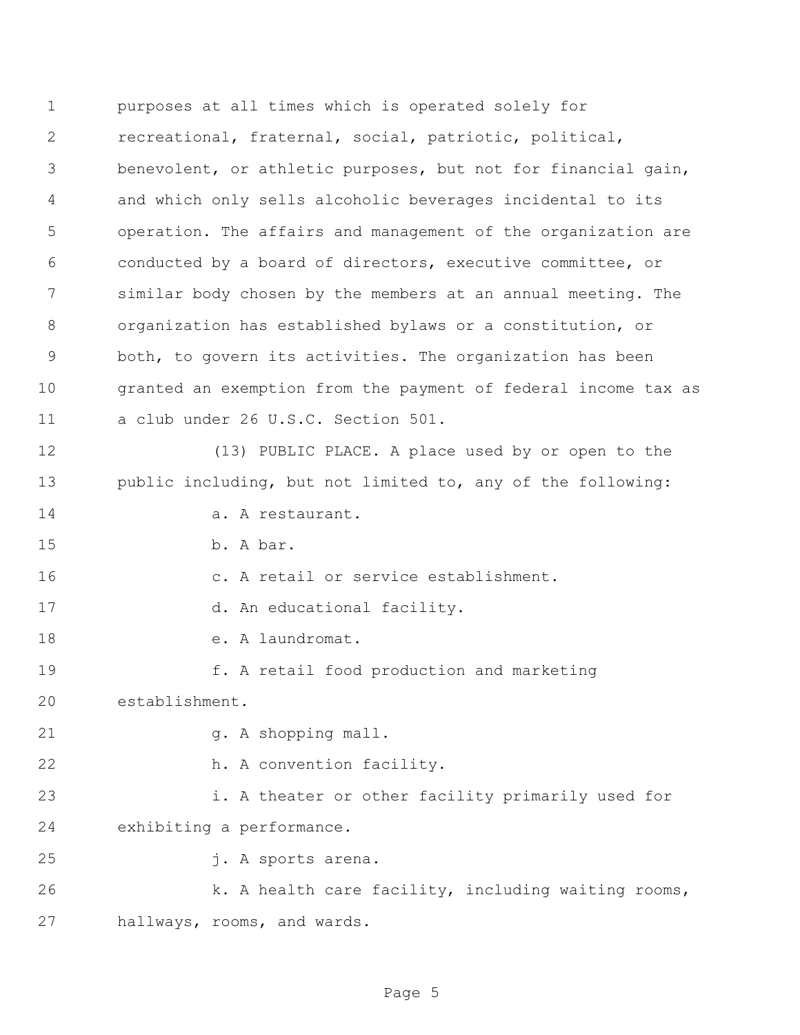purposes at all times which is operated solely for recreational, fraternal, social, patriotic, political, benevolent, or athletic purposes, but not for financial gain, and which only sells alcoholic beverages incidental to its operation. The affairs and management of the organization are conducted by a board of directors, executive committee, or similar body chosen by the members at an annual meeting. The organization has established bylaws or a constitution, or both, to govern its activities. The organization has been granted an exemption from the payment of federal income tax as a club under 26 U.S.C. Section 501. (13) PUBLIC PLACE. A place used by or open to the public including, but not limited to, any of the following: 14 a. A restaurant. b. A bar. c. A retail or service establishment. 17 d. An educational facility. 18 e. A laundromat. f. A retail food production and marketing establishment. 21 g. A shopping mall. h. A convention facility. i. A theater or other facility primarily used for exhibiting a performance. j. A sports arena. 26 k. A health care facility, including waiting rooms, hallways, rooms, and wards.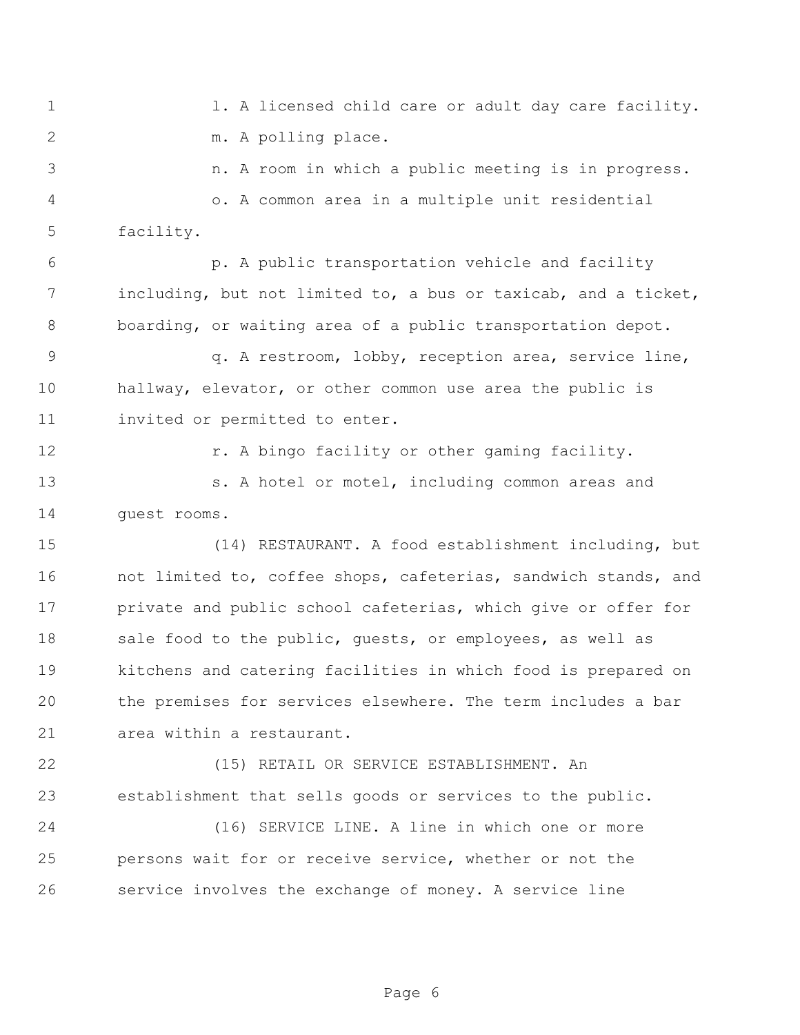1 1. A licensed child care or adult day care facility. m. A polling place.

 n. A room in which a public meeting is in progress. o. A common area in a multiple unit residential facility.

 p. A public transportation vehicle and facility including, but not limited to, a bus or taxicab, and a ticket, boarding, or waiting area of a public transportation depot.

 q. A restroom, lobby, reception area, service line, hallway, elevator, or other common use area the public is invited or permitted to enter.

**12 r.** A bingo facility or other gaming facility.

 s. A hotel or motel, including common areas and guest rooms.

 (14) RESTAURANT. A food establishment including, but not limited to, coffee shops, cafeterias, sandwich stands, and 17 private and public school cafeterias, which give or offer for 18 sale food to the public, quests, or employees, as well as kitchens and catering facilities in which food is prepared on the premises for services elsewhere. The term includes a bar area within a restaurant.

 (15) RETAIL OR SERVICE ESTABLISHMENT. An establishment that sells goods or services to the public.

 (16) SERVICE LINE. A line in which one or more persons wait for or receive service, whether or not the service involves the exchange of money. A service line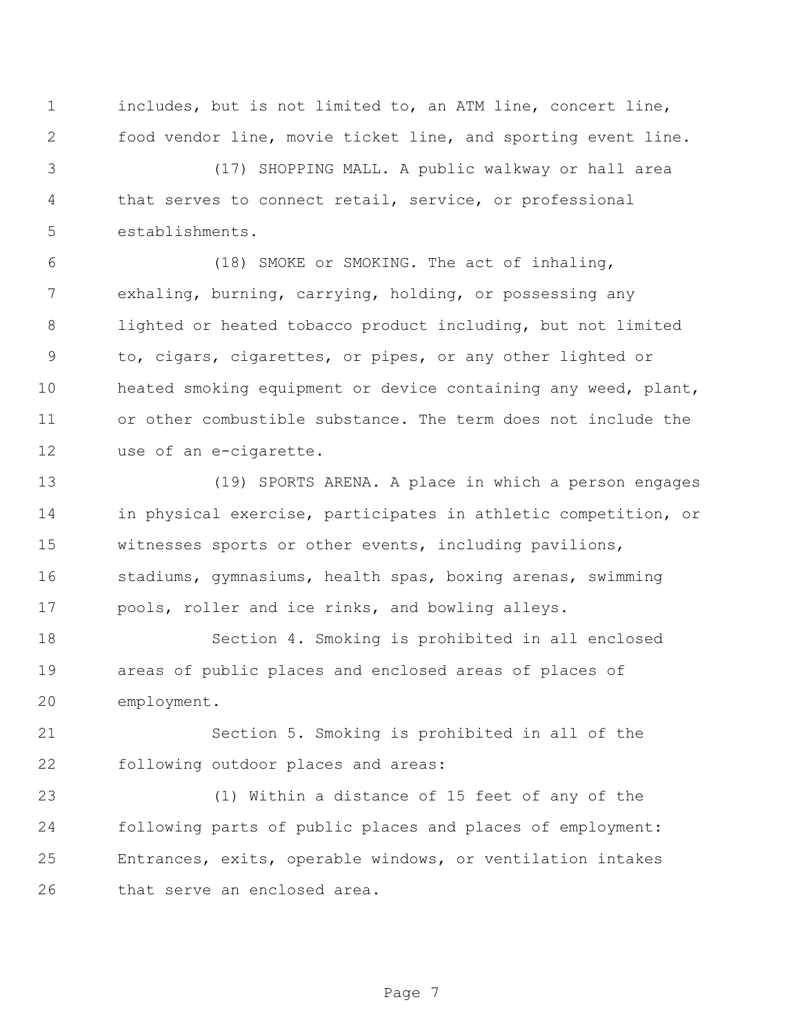includes, but is not limited to, an ATM line, concert line, food vendor line, movie ticket line, and sporting event line.

 (17) SHOPPING MALL. A public walkway or hall area that serves to connect retail, service, or professional establishments.

 (18) SMOKE or SMOKING. The act of inhaling, exhaling, burning, carrying, holding, or possessing any lighted or heated tobacco product including, but not limited to, cigars, cigarettes, or pipes, or any other lighted or heated smoking equipment or device containing any weed, plant, or other combustible substance. The term does not include the use of an e-cigarette.

 (19) SPORTS ARENA. A place in which a person engages in physical exercise, participates in athletic competition, or witnesses sports or other events, including pavilions, stadiums, gymnasiums, health spas, boxing arenas, swimming pools, roller and ice rinks, and bowling alleys.

 Section 4. Smoking is prohibited in all enclosed areas of public places and enclosed areas of places of employment.

 Section 5. Smoking is prohibited in all of the following outdoor places and areas:

 (1) Within a distance of 15 feet of any of the following parts of public places and places of employment: Entrances, exits, operable windows, or ventilation intakes that serve an enclosed area.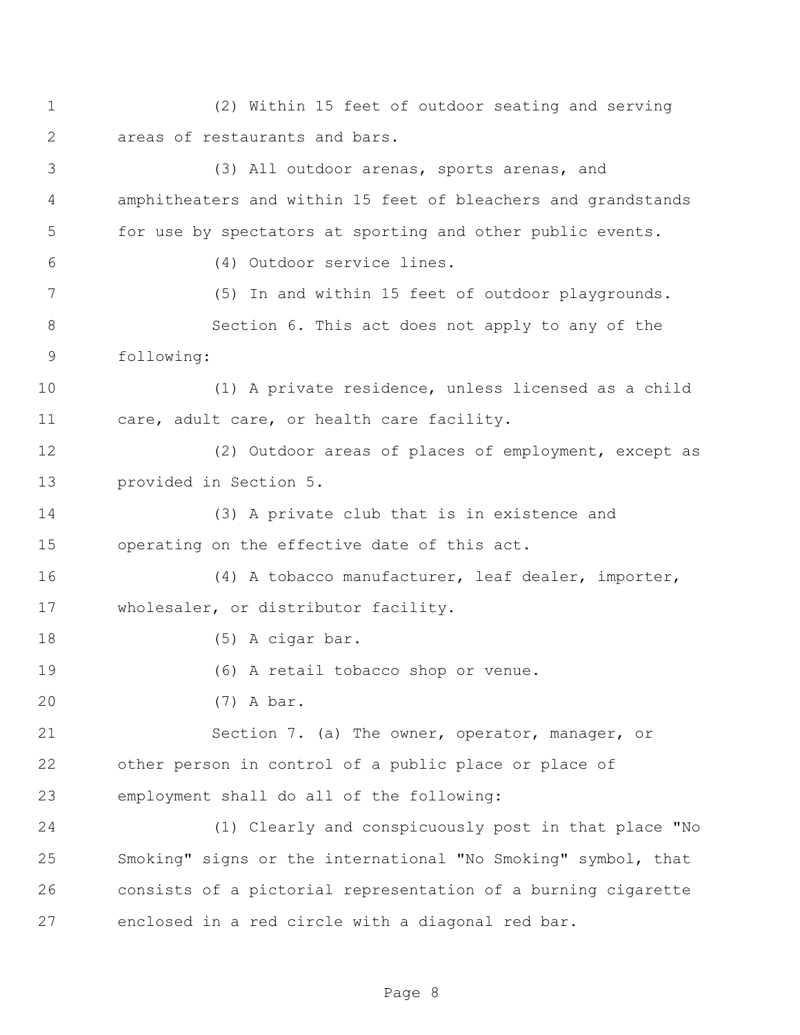(2) Within 15 feet of outdoor seating and serving areas of restaurants and bars.

 (3) All outdoor arenas, sports arenas, and amphitheaters and within 15 feet of bleachers and grandstands for use by spectators at sporting and other public events. (4) Outdoor service lines. (5) In and within 15 feet of outdoor playgrounds. Section 6. This act does not apply to any of the following: (1) A private residence, unless licensed as a child 11 care, adult care, or health care facility. (2) Outdoor areas of places of employment, except as provided in Section 5. (3) A private club that is in existence and operating on the effective date of this act. (4) A tobacco manufacturer, leaf dealer, importer, wholesaler, or distributor facility. 18 (5) A cigar bar. (6) A retail tobacco shop or venue. (7) A bar. Section 7. (a) The owner, operator, manager, or other person in control of a public place or place of employment shall do all of the following: (1) Clearly and conspicuously post in that place "No Smoking" signs or the international "No Smoking" symbol, that consists of a pictorial representation of a burning cigarette enclosed in a red circle with a diagonal red bar.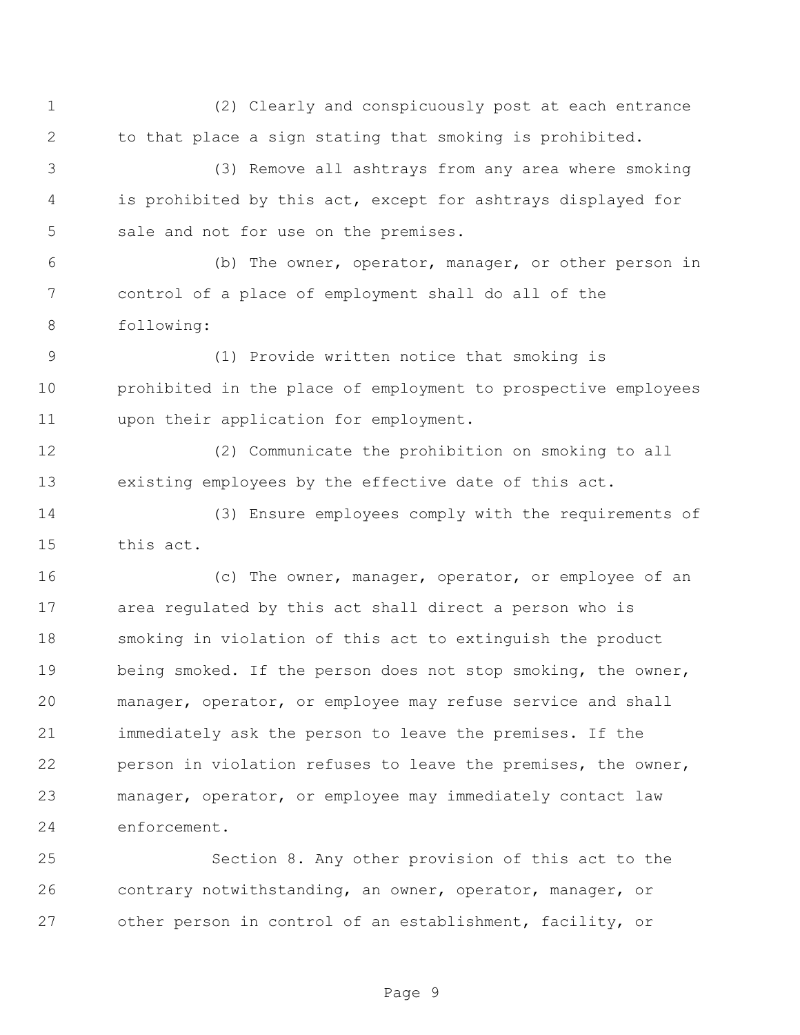(2) Clearly and conspicuously post at each entrance to that place a sign stating that smoking is prohibited.

 (3) Remove all ashtrays from any area where smoking is prohibited by this act, except for ashtrays displayed for sale and not for use on the premises.

 (b) The owner, operator, manager, or other person in control of a place of employment shall do all of the following:

 (1) Provide written notice that smoking is prohibited in the place of employment to prospective employees upon their application for employment.

 (2) Communicate the prohibition on smoking to all existing employees by the effective date of this act.

 (3) Ensure employees comply with the requirements of this act.

16 (c) The owner, manager, operator, or employee of an area regulated by this act shall direct a person who is smoking in violation of this act to extinguish the product being smoked. If the person does not stop smoking, the owner, manager, operator, or employee may refuse service and shall immediately ask the person to leave the premises. If the person in violation refuses to leave the premises, the owner, manager, operator, or employee may immediately contact law enforcement.

 Section 8. Any other provision of this act to the contrary notwithstanding, an owner, operator, manager, or other person in control of an establishment, facility, or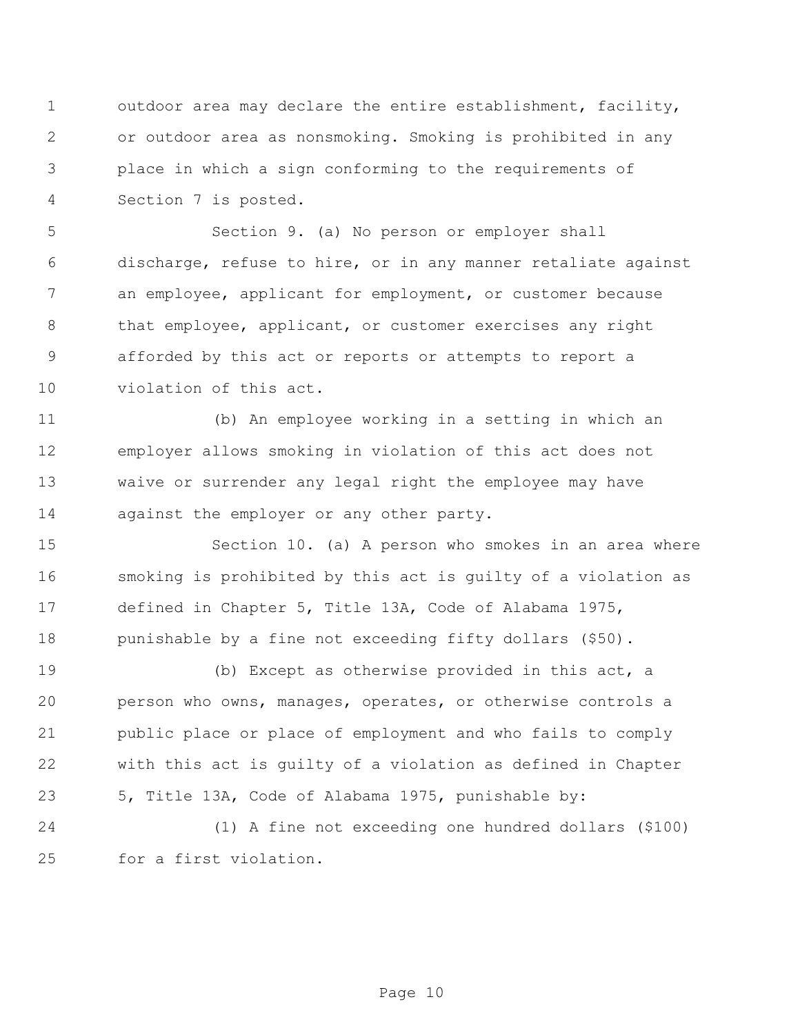outdoor area may declare the entire establishment, facility, or outdoor area as nonsmoking. Smoking is prohibited in any place in which a sign conforming to the requirements of Section 7 is posted.

 Section 9. (a) No person or employer shall discharge, refuse to hire, or in any manner retaliate against an employee, applicant for employment, or customer because that employee, applicant, or customer exercises any right afforded by this act or reports or attempts to report a violation of this act.

 (b) An employee working in a setting in which an employer allows smoking in violation of this act does not waive or surrender any legal right the employee may have 14 against the employer or any other party.

 Section 10. (a) A person who smokes in an area where smoking is prohibited by this act is guilty of a violation as defined in Chapter 5, Title 13A, Code of Alabama 1975, punishable by a fine not exceeding fifty dollars (\$50).

 (b) Except as otherwise provided in this act, a person who owns, manages, operates, or otherwise controls a public place or place of employment and who fails to comply with this act is guilty of a violation as defined in Chapter 5, Title 13A, Code of Alabama 1975, punishable by:

 (1) A fine not exceeding one hundred dollars (\$100) for a first violation.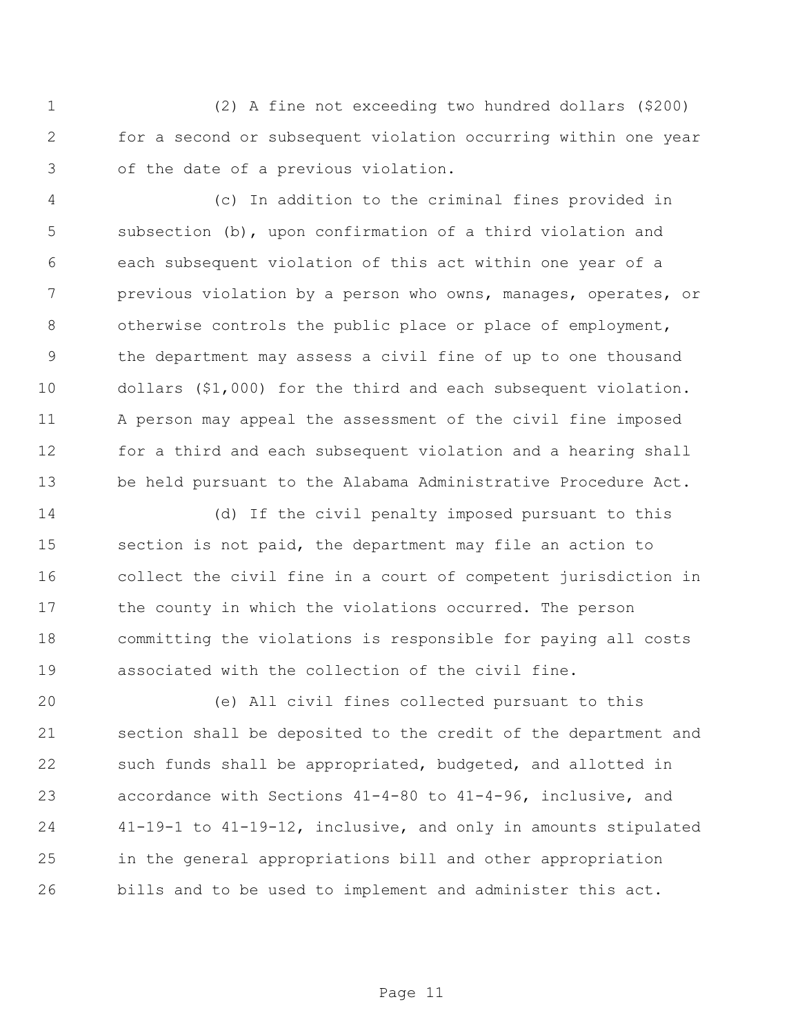(2) A fine not exceeding two hundred dollars (\$200) for a second or subsequent violation occurring within one year of the date of a previous violation.

 (c) In addition to the criminal fines provided in subsection (b), upon confirmation of a third violation and each subsequent violation of this act within one year of a previous violation by a person who owns, manages, operates, or 8 otherwise controls the public place or place of employment, the department may assess a civil fine of up to one thousand dollars (\$1,000) for the third and each subsequent violation. A person may appeal the assessment of the civil fine imposed for a third and each subsequent violation and a hearing shall be held pursuant to the Alabama Administrative Procedure Act.

 (d) If the civil penalty imposed pursuant to this section is not paid, the department may file an action to collect the civil fine in a court of competent jurisdiction in the county in which the violations occurred. The person committing the violations is responsible for paying all costs associated with the collection of the civil fine.

 (e) All civil fines collected pursuant to this section shall be deposited to the credit of the department and such funds shall be appropriated, budgeted, and allotted in accordance with Sections 41-4-80 to 41-4-96, inclusive, and 41-19-1 to 41-19-12, inclusive, and only in amounts stipulated in the general appropriations bill and other appropriation bills and to be used to implement and administer this act.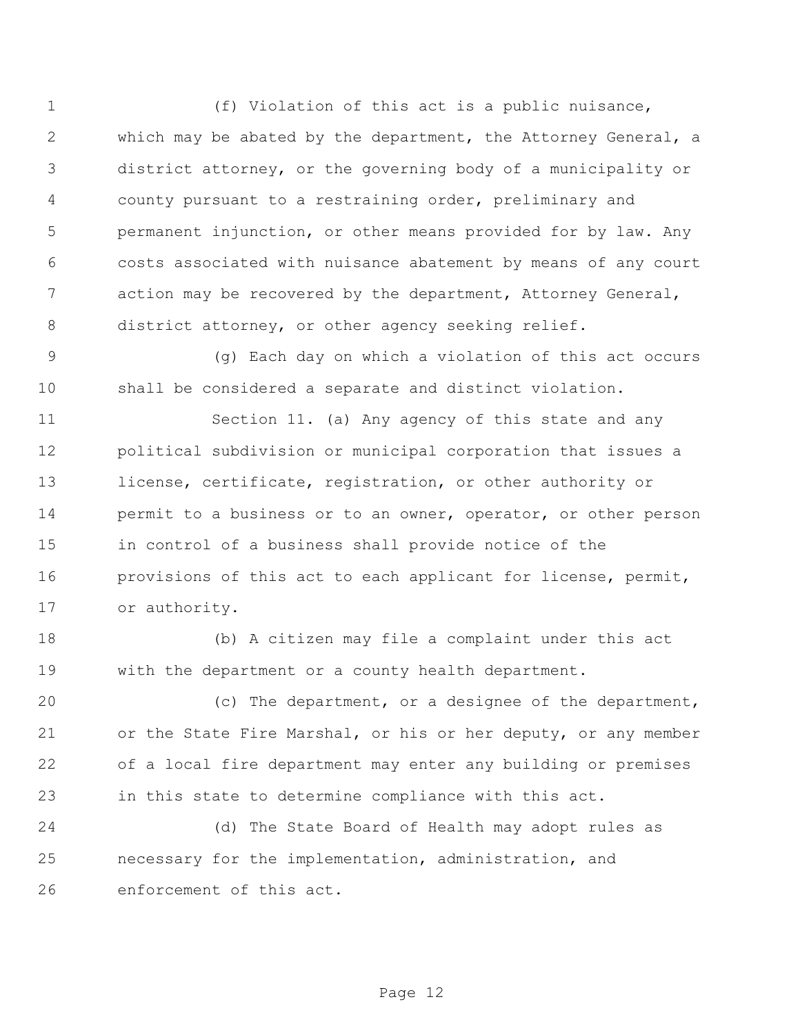(f) Violation of this act is a public nuisance, which may be abated by the department, the Attorney General, a district attorney, or the governing body of a municipality or county pursuant to a restraining order, preliminary and permanent injunction, or other means provided for by law. Any costs associated with nuisance abatement by means of any court action may be recovered by the department, Attorney General, 8 district attorney, or other agency seeking relief.

 (g) Each day on which a violation of this act occurs shall be considered a separate and distinct violation.

 Section 11. (a) Any agency of this state and any political subdivision or municipal corporation that issues a license, certificate, registration, or other authority or permit to a business or to an owner, operator, or other person in control of a business shall provide notice of the provisions of this act to each applicant for license, permit, or authority.

 (b) A citizen may file a complaint under this act with the department or a county health department.

 (c) The department, or a designee of the department, or the State Fire Marshal, or his or her deputy, or any member of a local fire department may enter any building or premises in this state to determine compliance with this act.

 (d) The State Board of Health may adopt rules as necessary for the implementation, administration, and enforcement of this act.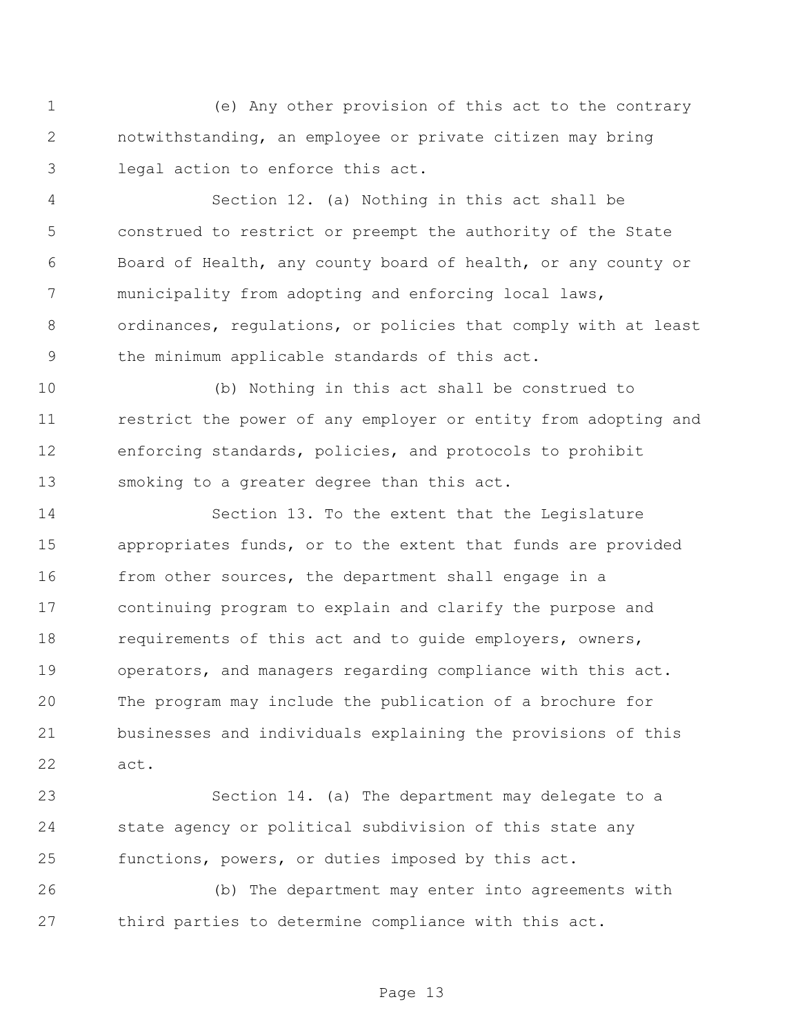(e) Any other provision of this act to the contrary notwithstanding, an employee or private citizen may bring legal action to enforce this act.

 Section 12. (a) Nothing in this act shall be construed to restrict or preempt the authority of the State Board of Health, any county board of health, or any county or 7 municipality from adopting and enforcing local laws, ordinances, regulations, or policies that comply with at least the minimum applicable standards of this act.

 (b) Nothing in this act shall be construed to restrict the power of any employer or entity from adopting and enforcing standards, policies, and protocols to prohibit smoking to a greater degree than this act.

 Section 13. To the extent that the Legislature appropriates funds, or to the extent that funds are provided 16 from other sources, the department shall engage in a continuing program to explain and clarify the purpose and requirements of this act and to guide employers, owners, operators, and managers regarding compliance with this act. The program may include the publication of a brochure for businesses and individuals explaining the provisions of this act.

 Section 14. (a) The department may delegate to a state agency or political subdivision of this state any functions, powers, or duties imposed by this act.

 (b) The department may enter into agreements with third parties to determine compliance with this act.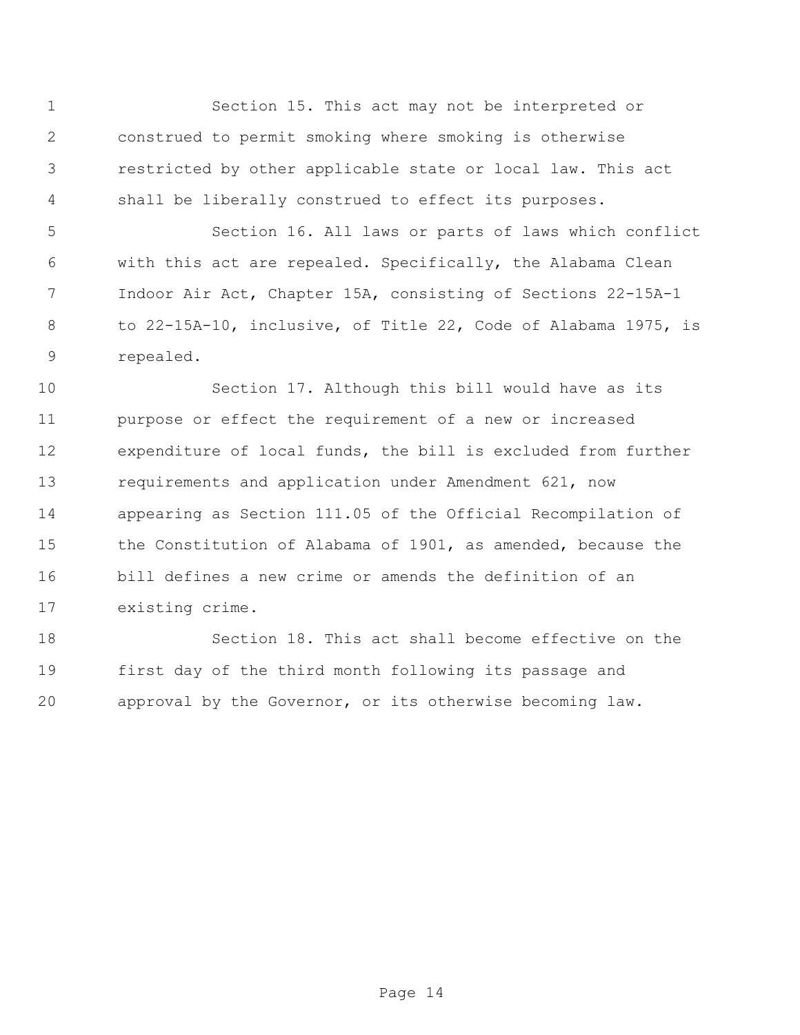Section 15. This act may not be interpreted or construed to permit smoking where smoking is otherwise restricted by other applicable state or local law. This act shall be liberally construed to effect its purposes.

 Section 16. All laws or parts of laws which conflict with this act are repealed. Specifically, the Alabama Clean Indoor Air Act, Chapter 15A, consisting of Sections 22-15A-1 to 22-15A-10, inclusive, of Title 22, Code of Alabama 1975, is repealed.

 Section 17. Although this bill would have as its purpose or effect the requirement of a new or increased expenditure of local funds, the bill is excluded from further requirements and application under Amendment 621, now appearing as Section 111.05 of the Official Recompilation of the Constitution of Alabama of 1901, as amended, because the bill defines a new crime or amends the definition of an existing crime.

 Section 18. This act shall become effective on the first day of the third month following its passage and approval by the Governor, or its otherwise becoming law.